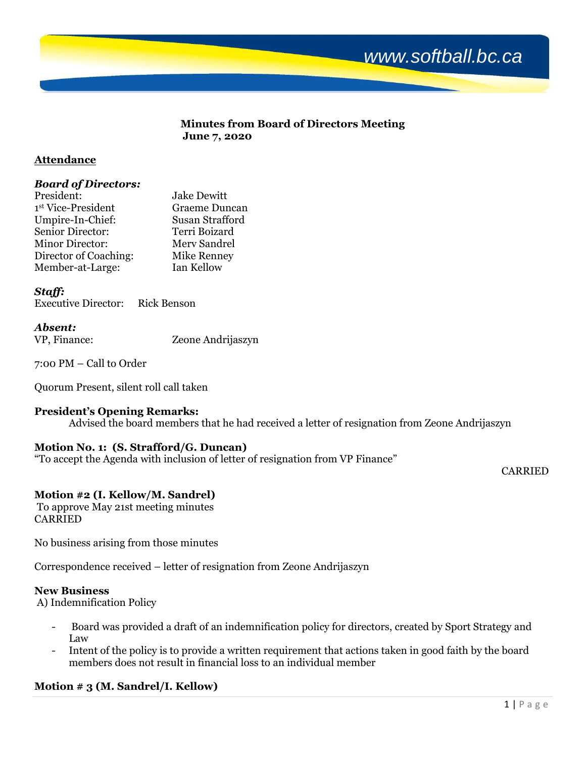

#### **Minutes from Board of Directors Meeting June 7, 2020**

#### **Attendance**

#### *Board of Directors:*

| <b>Jake Dewitt</b>   |
|----------------------|
| <b>Graeme Duncan</b> |
| Susan Strafford      |
| Terri Boizard        |
| Merv Sandrel         |
| Mike Renney          |
| Ian Kellow           |
|                      |

#### *Staff:*

Executive Director: Rick Benson

#### *Absent:*

| VP, Finance: | Zeone Andrijaszyn |
|--------------|-------------------|

7:00 PM – Call to Order

Quorum Present, silent roll call taken

#### **President's Opening Remarks:**

Advised the board members that he had received a letter of resignation from Zeone Andrijaszyn

## **Motion No. 1: (S. Strafford/G. Duncan)**

"To accept the Agenda with inclusion of letter of resignation from VP Finance"

#### CARRIED

# **Motion #2 (I. Kellow/M. Sandrel)**

To approve May 21st meeting minutes CARRIED

No business arising from those minutes

Correspondence received – letter of resignation from Zeone Andrijaszyn

#### **New Business**

A) Indemnification Policy

- Board was provided a draft of an indemnification policy for directors, created by Sport Strategy and Law
- Intent of the policy is to provide a written requirement that actions taken in good faith by the board members does not result in financial loss to an individual member

# **Motion # 3 (M. Sandrel/I. Kellow)**